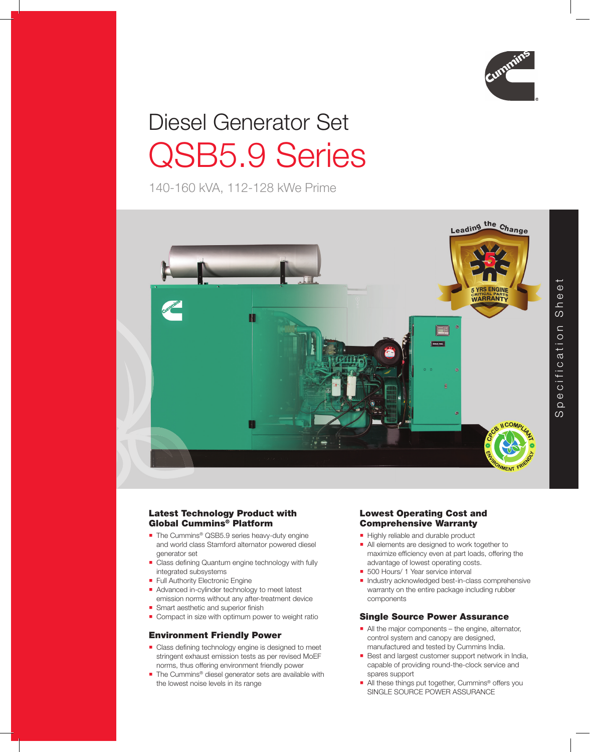

# Diesel Generator Set QSB5.9 Series

140-160 kVA, 112-128 kWe Prime



# Latest Technology Product with Global Cummins® Platform

- The Cummins<sup>®</sup> QSB5.9 series heavy-duty engine and world class Stamford alternator powered diesel generator set
- Class defining Quantum engine technology with fully integrated subsystems
- **Full Authority Electronic Engine**
- Advanced in-cylinder technology to meet latest emission norms without any after-treatment device
- $\blacksquare$  Smart aesthetic and superior finish
- Compact in size with optimum power to weight ratio

# Environment Friendly Power

- $\blacksquare$  Class defining technology engine is designed to meet stringent exhaust emission tests as per revised MoEF norms, thus offering environment friendly power
- The Cummins<sup>®</sup> diesel generator sets are available with the lowest noise levels in its range

### Lowest Operating Cost and Comprehensive Warranty

- Highly reliable and durable product
- All elements are designed to work together to maximize efficiency even at part loads, offering the advantage of lowest operating costs.
- 500 Hours/ 1 Year service interval
- Industry acknowledged best-in-class comprehensive warranty on the entire package including rubber components

# Single Source Power Assurance

- All the major components the engine, alternator, control system and canopy are designed, manufactured and tested by Cummins India.
- **Best and largest customer support network in India,** capable of providing round-the-clock service and spares support
- All these things put together, Cummins<sup>®</sup> offers you SINGLE SOURCE POWER ASSURANCE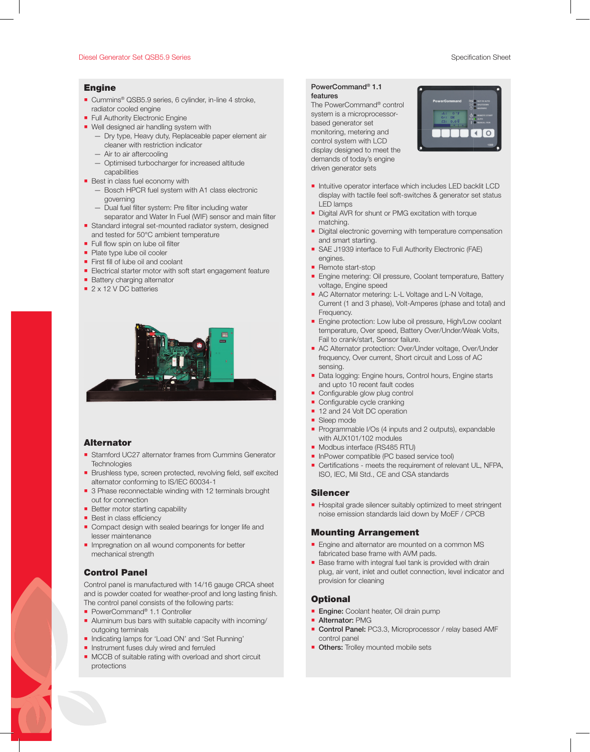#### Diesel Generator Set QSB5.9 Series Specification Sheet Specification Sheet Specification Sheet

#### Engine

- Cummins<sup>®</sup> QSB5.9 series, 6 cylinder, in-line 4 stroke, radiator cooled engine
- **Full Authority Electronic Engine**
- **Well designed air handling system with** 
	- Dry type, Heavy duty, Replaceable paper element air cleaner with restriction indicator
	- Air to air aftercooling
	- Optimised turbocharger for increased altitude capabilities
- **Best in class fuel economy with** 
	- Bosch HPCR fuel system with A1 class electronic governing
	- Dual fuel filter system: Pre filter including water
- separator and Water In Fuel (WIF) sensor and main filter Standard integral set-mounted radiator system, designed
- and tested for 50°C ambient temperature  $\blacksquare$  Full flow spin on lube oil filter
- Plate type lube oil cooler
- $\blacksquare$  First fill of lube oil and coolant
- Electrical starter motor with soft start engagement feature
- **Battery charging alternator**
- 2 x 12 V DC batteries



#### **Alternator**

- Stamford UC27 alternator frames from Cummins Generator **Technologies**
- Brushless type, screen protected, revolving field, self excited alternator conforming to IS/IEC 60034-1
- 3 Phase reconnectable winding with 12 terminals brought out for connection
- **Better motor starting capability**
- $\blacksquare$  Best in class efficiency
- Compact design with sealed bearings for longer life and lesser maintenance
- **Impregnation on all wound components for better** mechanical strength

# Control Panel

Control panel is manufactured with 14/16 gauge CRCA sheet and is powder coated for weather-proof and long lasting finish. The control panel consists of the following parts:

- PowerCommand<sup>®</sup> 1.1 Controller
- Aluminum bus bars with suitable capacity with incoming/ outgoing terminals
- **Indicating lamps for 'Load ON' and 'Set Running'**
- **Instrument fuses duly wired and ferruled**
- **MCCB** of suitable rating with overload and short circuit protections

# PowerCommand® 1.1

features The PowerCommand® control system is a microprocessorbased generator set monitoring, metering and control system with LCD display designed to meet the demands of today's engine driven generator sets



- Intuitive operator interface which includes LED backlit LCD display with tactile feel soft-switches & generator set status LED lamps
- Digital AVR for shunt or PMG excitation with torque matching.
- **Digital electronic governing with temperature compensation** and smart starting.
- SAE J1939 interface to Full Authority Electronic (FAE) engines.
- Remote start-stop
- **Engine metering: Oil pressure, Coolant temperature, Battery** voltage, Engine speed
- **AC Alternator metering: L-L Voltage and L-N Voltage,** Current (1 and 3 phase), Volt-Amperes (phase and total) and Frequency.
- **Engine protection: Low lube oil pressure, High/Low coolant** temperature, Over speed, Battery Over/Under/Weak Volts, Fail to crank/start, Sensor failure.
- AC Alternator protection: Over/Under voltage, Over/Under frequency, Over current, Short circuit and Loss of AC sensing.
- Data logging: Engine hours, Control hours, Engine starts and upto 10 recent fault codes
- Configurable glow plug control
- $\blacksquare$  Configurable cycle cranking
- 12 and 24 Volt DC operation
- Sleep mode
- Programmable I/Os (4 inputs and 2 outputs), expandable with AUX101/102 modules
- Modbus interface (RS485 RTU)
- **InPower compatible (PC based service tool)**
- Certifications meets the requirement of relevant UL, NFPA, ISO, IEC, Mil Std., CE and CSA standards

#### Silencer

Hospital grade silencer suitably optimized to meet stringent noise emission standards laid down by MoEF / CPCB

#### Mounting Arrangement

- **Engine and alternator are mounted on a common MS** fabricated base frame with AVM pads.
- Base frame with integral fuel tank is provided with drain plug, air vent, inlet and outlet connection, level indicator and provision for cleaning

#### **Optional**

- Engine: Coolant heater, Oil drain pump
- **Alternator: PMG**
- Control Panel: PC3.3, Microprocessor / relay based AMF control panel
- **Others:** Trolley mounted mobile sets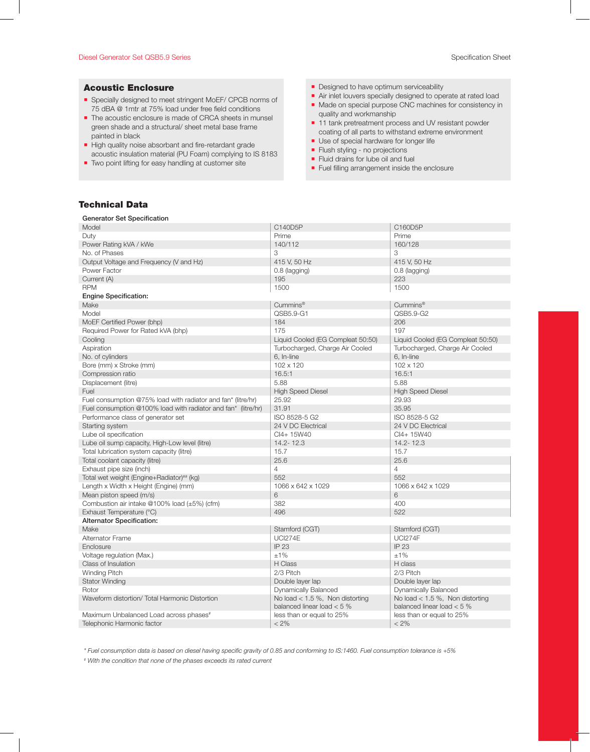#### Diesel Generator Set QSB5.9 Series Specification Sheet

#### Acoustic Enclosure

- Specially designed to meet stringent MoEF/ CPCB norms of 75 dBA @ 1mtr at 75% load under free field conditions
- The acoustic enclosure is made of CRCA sheets in munsel green shade and a structural/ sheet metal base frame painted in black
- High quality noise absorbant and fire-retardant grade acoustic insulation material (PU Foam) complying to IS 8183
- **Two point lifting for easy handling at customer site**
- **Designed to have optimum serviceability**
- Air inlet louvers specially designed to operate at rated load
- Made on special purpose CNC machines for consistency in quality and workmanship
- 11 tank pretreatment process and UV resistant powder coating of all parts to withstand extreme environment
- Use of special hardware for longer life
- **Filush styling no projections**
- **Fluid drains for lube oil and fuel**
- Fuel filling arrangement inside the enclosure

# Technical Data

| <b>Generator Set Specification</b>                            |                                                                    |                                                                   |  |
|---------------------------------------------------------------|--------------------------------------------------------------------|-------------------------------------------------------------------|--|
| Model                                                         | C140D5P                                                            | C160D5P                                                           |  |
| Duty                                                          | Prime                                                              | Prime                                                             |  |
| Power Rating kVA / kWe                                        | 140/112                                                            | 160/128                                                           |  |
| No. of Phases                                                 | 3                                                                  | 3                                                                 |  |
| Output Voltage and Frequency (V and Hz)                       | 415 V, 50 Hz                                                       | 415 V, 50 Hz                                                      |  |
| Power Factor                                                  | 0.8 (lagging)                                                      | 0.8 (lagging)                                                     |  |
| Current (A)                                                   | 195                                                                | 223                                                               |  |
| <b>RPM</b>                                                    | 1500                                                               | 1500                                                              |  |
| <b>Engine Specification:</b>                                  |                                                                    |                                                                   |  |
| Make                                                          | Cummins <sup>®</sup>                                               | Cummins <sup>®</sup>                                              |  |
| Model                                                         | QSB5.9-G1                                                          | QSB5.9-G2                                                         |  |
| MoEF Certified Power (bhp)                                    | 184                                                                | 206                                                               |  |
| Required Power for Rated kVA (bhp)                            | 175                                                                | 197                                                               |  |
| Cooling                                                       | Liquid Cooled (EG Compleat 50:50)                                  | Liquid Cooled (EG Compleat 50:50)                                 |  |
| Aspiration                                                    | Turbocharged, Charge Air Cooled                                    | Turbocharged, Charge Air Cooled                                   |  |
| No. of cylinders                                              | 6, In-line                                                         | 6, In-line                                                        |  |
| Bore (mm) x Stroke (mm)                                       | 102 x 120                                                          | 102 x 120                                                         |  |
| Compression ratio                                             | 16.5:1                                                             | 16.5:1                                                            |  |
| Displacement (litre)                                          | 5.88                                                               | 5.88                                                              |  |
| Fuel                                                          | <b>High Speed Diesel</b>                                           | <b>High Speed Diesel</b>                                          |  |
| Fuel consumption @75% load with radiator and fan* (litre/hr)  | 25.92                                                              | 29.93                                                             |  |
| Fuel consumption @100% load with radiator and fan* (litre/hr) | 31.91                                                              | 35.95                                                             |  |
| Performance class of generator set                            | ISO 8528-5 G2                                                      | ISO 8528-5 G2                                                     |  |
| Starting system                                               | 24 V DC Electrical                                                 | 24 V DC Electrical                                                |  |
|                                                               | CI4+15W40                                                          | CI4+ 15W40                                                        |  |
| Lube oil specification                                        |                                                                    |                                                                   |  |
| Lube oil sump capacity, High-Low level (litre)                | 14.2-12.3                                                          | 14.2-12.3                                                         |  |
| Total lubrication system capacity (litre)                     | 15.7                                                               | 15.7                                                              |  |
| Total coolant capacity (litre)                                | 25.6                                                               | 25.6                                                              |  |
| Exhaust pipe size (inch)                                      | $\overline{4}$                                                     | 4                                                                 |  |
| Total wet weight (Engine+Radiator) <sup>##</sup> (kg)         | 552                                                                | 552                                                               |  |
| Length x Width x Height (Engine) (mm)                         | 1066 x 642 x 1029                                                  | 1066 x 642 x 1029                                                 |  |
| Mean piston speed (m/s)                                       | 6                                                                  | 6                                                                 |  |
| Combustion air intake @100% load $(\pm 5%)$ (cfm)             | 382                                                                | 400                                                               |  |
| Exhaust Temperature (°C)                                      | 496                                                                | 522                                                               |  |
| <b>Alternator Specification:</b>                              |                                                                    |                                                                   |  |
| Make                                                          | Stamford (CGT)                                                     | Stamford (CGT)                                                    |  |
| <b>Alternator Frame</b>                                       | <b>UCI274E</b>                                                     | <b>UCI274F</b>                                                    |  |
| Enclosure                                                     | <b>IP 23</b>                                                       | <b>IP 23</b>                                                      |  |
| Voltage regulation (Max.)                                     | ±1%                                                                | $±1\%$                                                            |  |
| Class of Insulation                                           | H Class                                                            | H class                                                           |  |
| Winding Pitch                                                 | 2/3 Pitch                                                          | 2/3 Pitch                                                         |  |
| <b>Stator Winding</b>                                         | Double layer lap                                                   | Double layer lap                                                  |  |
| Rotor                                                         | Dynamically Balanced                                               | <b>Dynamically Balanced</b>                                       |  |
| Waveform distortion/ Total Harmonic Distortion                | No load $< 1.5$ %, Non distorting<br>balanced linear load $< 5 \%$ | No load $< 1.5$ %, Non distorting<br>balanced linear load $< 5$ % |  |
| Maximum Unbalanced Load across phases <sup>#</sup>            | less than or equal to 25%                                          | less than or equal to 25%                                         |  |
| Telephonic Harmonic factor                                    | $< 2\%$                                                            | $< 2\%$                                                           |  |

*\* Fuel consumption data is based on diesel having specific gravity of 0.85 and conforming to IS:1460. Fuel consumption tolerance is +5%*

*# With the condition that none of the phases exceeds its rated current*